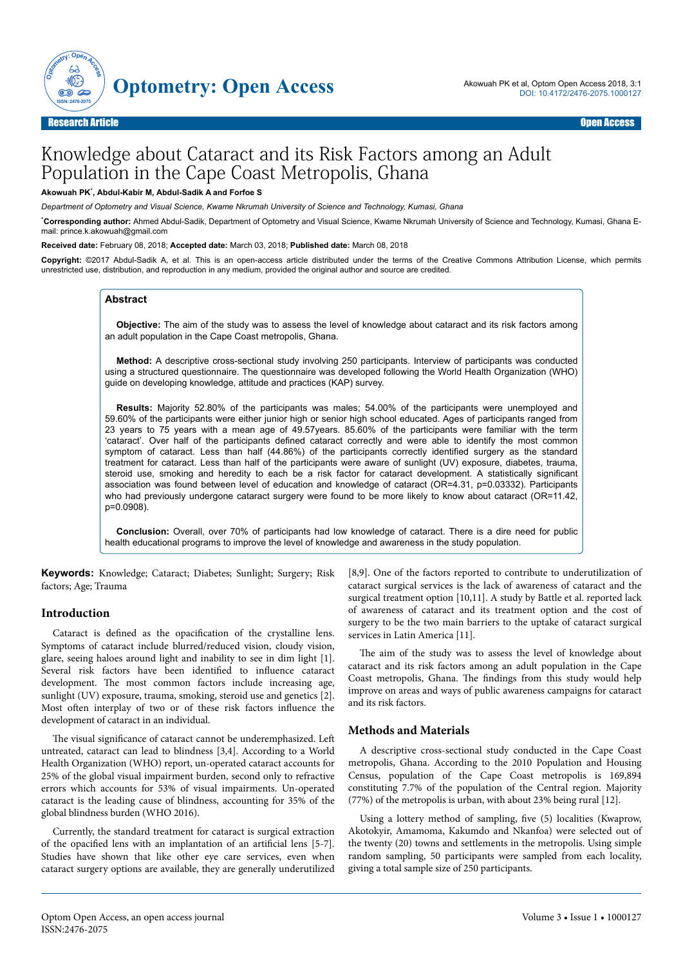

# Knowledge about Cataract and its Risk Factors among an Adult Population in the Cape Coast Metropolis, Ghana

#### **Akowuah PK**\* **, Abdul-Kabir M, Abdul-Sadik A and Forfoe S**

*Department of Optometry and Visual Science, Kwame Nkrumah University of Science and Technology, Kumasi, Ghana*

\***Corresponding author:** Ahmed Abdul-Sadik, Department of Optometry and Visual Science, Kwame Nkrumah University of Science and Technology, Kumasi, Ghana Email: prince.k.akowuah@gmail.com

**Received date:** February 08, 2018; **Accepted date:** March 03, 2018; **Published date:** March 08, 2018

**Copyright:** ©2017 Abdul-Sadik A, et al. This is an open-access article distributed under the terms of the Creative Commons Attribution License, which permits unrestricted use, distribution, and reproduction in any medium, provided the original author and source are credited.

## **Abstract**

**Objective:** The aim of the study was to assess the level of knowledge about cataract and its risk factors among an adult population in the Cape Coast metropolis, Ghana.

**Method:** A descriptive cross-sectional study involving 250 participants. Interview of participants was conducted using a structured questionnaire. The questionnaire was developed following the World Health Organization (WHO) guide on developing knowledge, attitude and practices (KAP) survey.

**Results:** Majority 52.80% of the participants was males; 54.00% of the participants were unemployed and 59.60% of the participants were either junior high or senior high school educated. Ages of participants ranged from 23 years to 75 years with a mean age of 49.57years. 85.60% of the participants were familiar with the term 'cataract'. Over half of the participants defined cataract correctly and were able to identify the most common symptom of cataract. Less than half (44.86%) of the participants correctly identified surgery as the standard treatment for cataract. Less than half of the participants were aware of sunlight (UV) exposure, diabetes, trauma, steroid use, smoking and heredity to each be a risk factor for cataract development. A statistically significant association was found between level of education and knowledge of cataract (OR=4.31, p=0.03332). Participants who had previously undergone cataract surgery were found to be more likely to know about cataract (OR=11.42, p=0.0908).

**Conclusion:** Overall, over 70% of participants had low knowledge of cataract. There is a dire need for public health educational programs to improve the level of knowledge and awareness in the study population.

**Keywords:** Knowledge; Cataract; Diabetes; Sunlight; Surgery; Risk factors; Age; Trauma

## **Introduction**

Cataract is defined as the opacification of the crystalline lens. Symptoms of cataract include blurred/reduced vision, cloudy vision, glare, seeing haloes around light and inability to see in dim light [1]. Several risk factors have been identified to influence cataract development. Нe most common factors include increasing age, sunlight (UV) exposure, trauma, smoking, steroid use and genetics [2]. Most often interplay of two or of these risk factors influence the development of cataract in an individual.

The visual significance of cataract cannot be underemphasized. Left untreated, cataract can lead to blindness [3,4]. According to a World Health Organization (WHO) report, un-operated cataract accounts for 25% of the global visual impairment burden, second only to refractive errors which accounts for 53% of visual impairments. Un-operated cataract is the leading cause of blindness, accounting for 35% of the global blindness burden (WHO 2016).

Currently, the standard treatment for cataract is surgical extraction of the opacified lens with an implantation of an artificial lens [5-7]. Studies have shown that like other eye care services, even when cataract surgery options are available, they are generally underutilized

[8,9]. One of the factors reported to contribute to underutilization of cataract surgical services is the lack of awareness of cataract and the surgical treatment option [10,11]. A study by Battle et al. reported lack of awareness of cataract and its treatment option and the cost of surgery to be the two main barriers to the uptake of cataract surgical services in Latin America [11].

The aim of the study was to assess the level of knowledge about cataract and its risk factors among an adult population in the Cape Coast metropolis, Ghana. Нe findings from this study would help improve on areas and ways of public awareness campaigns for cataract and its risk factors.

#### **Methods and Materials**

A descriptive cross-sectional study conducted in the Cape Coast metropolis, Ghana. According to the 2010 Population and Housing Census, population of the Cape Coast metropolis is 169,894 constituting 7.7% of the population of the Central region. Majority (77%) of the metropolis is urban, with about 23% being rural [12].

Using a lottery method of sampling, five (5) localities (Kwaprow, Akotokyir, Amamoma, Kakumdo and Nkanfoa) were selected out of the twenty (20) towns and settlements in the metropolis. Using simple random sampling, 50 participants were sampled from each locality, giving a total sample size of 250 participants.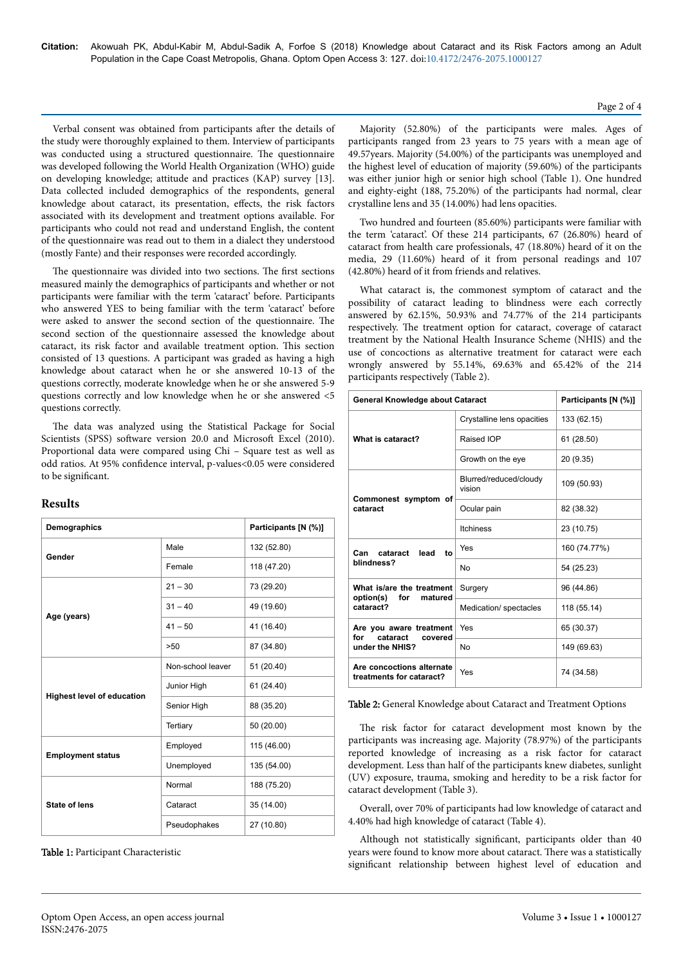Verbal consent was obtained from participants after the details of the study were thoroughly explained to them. Interview of participants was conducted using a structured questionnaire. Нe questionnaire was developed following the World Health Organization (WHO) guide on developing knowledge; attitude and practices (KAP) survey [13]. Data collected included demographics of the respondents, general knowledge about cataract, its presentation, effects, the risk factors associated with its development and treatment options available. For participants who could not read and understand English, the content of the questionnaire was read out to them in a dialect they understood (mostly Fante) and their responses were recorded accordingly.

The questionnaire was divided into two sections. The first sections measured mainly the demographics of participants and whether or not participants were familiar with the term 'cataract' before. Participants who answered YES to being familiar with the term 'cataract' before were asked to answer the second section of the questionnaire. Нe second section of the questionnaire assessed the knowledge about cataract, its risk factor and available treatment option. Нis section consisted of 13 questions. A participant was graded as having a high knowledge about cataract when he or she answered 10-13 of the questions correctly, moderate knowledge when he or she answered 5-9 questions correctly and low knowledge when he or she answered <5 questions correctly.

The data was analyzed using the Statistical Package for Social Scientists (SPSS) software version 20.0 and Microsoft Excel (2010). Proportional data were compared using Chi – Square test as well as odd ratios. At 95% confidence interval, p-values<0.05 were considered to be significant.

## **Results**

| Demographics                      |                   | Participants [N (%)] |  |
|-----------------------------------|-------------------|----------------------|--|
| Gender                            | Male              | 132 (52.80)          |  |
|                                   | Female            | 118 (47.20)          |  |
| Age (years)                       | $21 - 30$         | 73 (29.20)           |  |
|                                   | $31 - 40$         | 49 (19.60)           |  |
|                                   | $41 - 50$         | 41 (16.40)           |  |
|                                   | >50               | 87 (34.80)           |  |
| <b>Highest level of education</b> | Non-school leaver | 51 (20.40)           |  |
|                                   | Junior High       | 61 (24.40)           |  |
|                                   | Senior High       | 88 (35.20)           |  |
|                                   | Tertiary          | 50 (20.00)           |  |
| <b>Employment status</b>          | Employed          | 115 (46.00)          |  |
|                                   | Unemployed        | 135 (54.00)          |  |
| <b>State of lens</b>              | Normal            | 188 (75.20)          |  |
|                                   | Cataract          | 35 (14.00)           |  |
|                                   | Pseudophakes      | 27 (10.80)           |  |

Table 1: Participant Characteristic

Majority (52.80%) of the participants were males. Ages of participants ranged from 23 years to 75 years with a mean age of 49.57years. Majority (54.00%) of the participants was unemployed and the highest level of education of majority (59.60%) of the participants was either junior high or senior high school (Table 1). One hundred and eighty-eight (188, 75.20%) of the participants had normal, clear crystalline lens and 35 (14.00%) had lens opacities.

Two hundred and fourteen (85.60%) participants were familiar with the term 'cataract'. Of these 214 participants, 67 (26.80%) heard of cataract from health care professionals, 47 (18.80%) heard of it on the media, 29 (11.60%) heard of it from personal readings and 107 (42.80%) heard of it from friends and relatives.

What cataract is, the commonest symptom of cataract and the possibility of cataract leading to blindness were each correctly answered by 62.15%, 50.93% and 74.77% of the 214 participants respectively. Нe treatment option for cataract, coverage of cataract treatment by the National Health Insurance Scheme (NHIS) and the use of concoctions as alternative treatment for cataract were each wrongly answered by 55.14%, 69.63% and 65.42% of the 214 participants respectively (Table 2).

| <b>General Knowledge about Cataract</b>                                  |                                  | Participants [N (%)] |  |
|--------------------------------------------------------------------------|----------------------------------|----------------------|--|
| What is cataract?                                                        | Crystalline lens opacities       | 133 (62.15)          |  |
|                                                                          | Raised IOP                       | 61 (28.50)           |  |
|                                                                          | Growth on the eye                | 20 (9.35)            |  |
| Commonest symptom of<br>cataract                                         | Blurred/reduced/cloudy<br>vision | 109 (50.93)          |  |
|                                                                          | Ocular pain                      | 82 (38.32)           |  |
|                                                                          | <b>Itchiness</b>                 | 23 (10.75)           |  |
| cataract<br>lead<br>Can<br>to<br>blindness?                              | Yes                              | 160 (74.77%)         |  |
|                                                                          | No                               | 54 (25.23)           |  |
| What is/are the treatment<br>option(s)<br>for<br>matured<br>cataract?    | Surgery                          | 96 (44.86)           |  |
|                                                                          | Medication/ spectacles           | 118 (55.14)          |  |
| Are you aware treatment<br>for<br>cataract<br>covered<br>under the NHIS? | Yes                              | 65 (30.37)           |  |
|                                                                          | No                               | 149 (69.63)          |  |
| Are concoctions alternate<br>treatments for cataract?                    | Yes                              | 74 (34.58)           |  |

Table 2: General Knowledge about Cataract and Treatment Options

The risk factor for cataract development most known by the participants was increasing age. Majority (78.97%) of the participants reported knowledge of increasing as a risk factor for cataract development. Less than half of the participants knew diabetes, sunlight (UV) exposure, trauma, smoking and heredity to be a risk factor for cataract development (Table 3).

Overall, over 70% of participants had low knowledge of cataract and 4.40% had high knowledge of cataract (Table 4).

Although not statistically significant, participants older than 40 years were found to know more about cataract. Нere was a statistically significant relationship between highest level of education and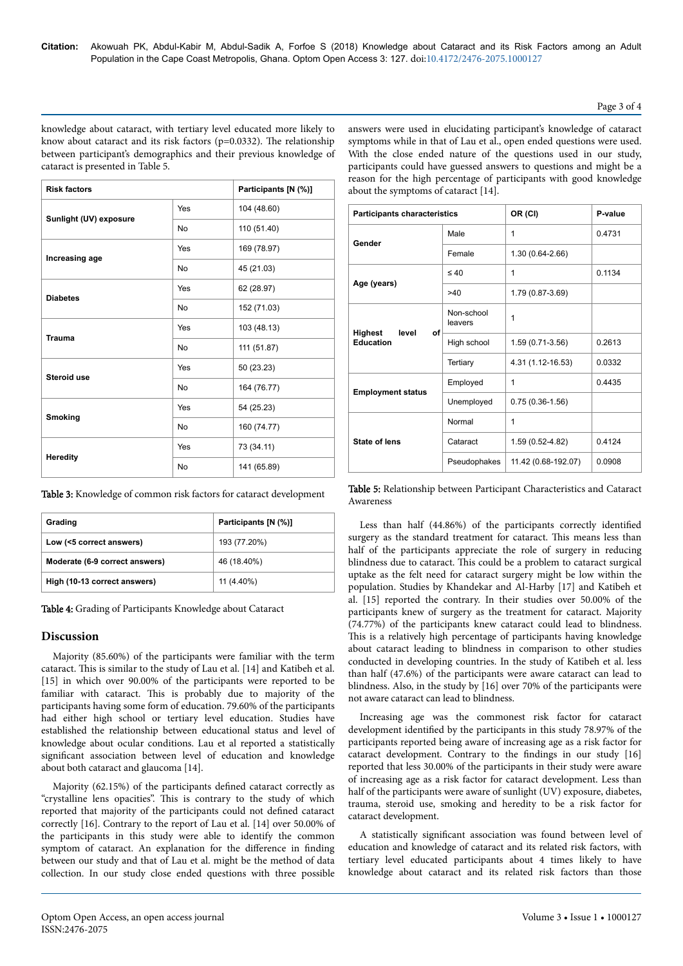#### Page 3 of 4

knowledge about cataract, with tertiary level educated more likely to know about cataract and its risk factors (p=0.0332). The relationship between participant's demographics and their previous knowledge of cataract is presented in Table 5.

answers were used in elucidating participant's knowledge of cataract symptoms while in that of Lau et al., open ended questions were used. With the close ended nature of the questions used in our study, participants could have guessed answers to questions and might be a reason for the high percentage of participants with good knowledge about the symptoms of cataract [14].

| <b>Risk factors</b>    |     | Participants [N (%)] |
|------------------------|-----|----------------------|
| Sunlight (UV) exposure | Yes | 104 (48.60)          |
|                        | No  | 110 (51.40)          |
| Increasing age         | Yes | 169 (78.97)          |
|                        | No  | 45 (21.03)           |
| <b>Diabetes</b>        | Yes | 62 (28.97)           |
|                        | No  | 152 (71.03)          |
| <b>Trauma</b>          | Yes | 103 (48.13)          |
|                        | No  | 111 (51.87)          |
| Steroid use            | Yes | 50 (23.23)           |
|                        | No  | 164 (76.77)          |
| <b>Smoking</b>         | Yes | 54 (25.23)           |
|                        | No  | 160 (74.77)          |
| <b>Heredity</b>        | Yes | 73 (34.11)           |
|                        | No  | 141 (65.89)          |

Table 3: Knowledge of common risk factors for cataract development

| Grading                        | Participants [N (%)] |  |
|--------------------------------|----------------------|--|
| Low (<5 correct answers)       | 193 (77.20%)         |  |
| Moderate (6-9 correct answers) | 46 (18.40%)          |  |
| High (10-13 correct answers)   | 11 (4.40%)           |  |

Table 4: Grading of Participants Knowledge about Cataract

# **Discussion**

Majority (85.60%) of the participants were familiar with the term cataract. Нis is similar to the study of Lau et al. [14] and Katibeh et al. [15] in which over 90.00% of the participants were reported to be familiar with cataract. Нis is probably due to majority of the participants having some form of education. 79.60% of the participants had either high school or tertiary level education. Studies have established the relationship between educational status and level of knowledge about ocular conditions. Lau et al reported a statistically significant association between level of education and knowledge about both cataract and glaucoma [14].

Majority (62.15%) of the participants defined cataract correctly as "crystalline lens opacities". Нis is contrary to the study of which reported that majority of the participants could not defined cataract correctly [16]. Contrary to the report of Lau et al. [14] over 50.00% of the participants in this study were able to identify the common symptom of cataract. An explanation for the difference in finding between our study and that of Lau et al. might be the method of data collection. In our study close ended questions with three possible

| <b>Participants characteristics</b>               |                       | OR (CI)             | P-value |
|---------------------------------------------------|-----------------------|---------------------|---------|
| Gender                                            | Male                  | 1                   | 0.4731  |
|                                                   | Female                | 1.30 (0.64-2.66)    |         |
| Age (years)                                       | $\leq 40$             | 1                   | 0.1134  |
|                                                   | >40                   | 1.79 (0.87-3.69)    |         |
| <b>Highest</b><br>level<br>οf<br><b>Education</b> | Non-school<br>leavers | 1                   |         |
|                                                   | High school           | 1.59 (0.71-3.56)    | 0.2613  |
|                                                   | Tertiary              | 4.31 (1.12-16.53)   | 0.0332  |
| <b>Employment status</b>                          | Employed              | 1                   | 0.4435  |
|                                                   | Unemployed            | $0.75(0.36-1.56)$   |         |
| <b>State of lens</b>                              | Normal                | 1                   |         |
|                                                   | Cataract              | 1.59 (0.52-4.82)    | 0.4124  |
|                                                   | Pseudophakes          | 11.42 (0.68-192.07) | 0.0908  |

Table 5: Relationship between Participant Characteristics and Cataract Awareness

Less than half (44.86%) of the participants correctly identified surgery as the standard treatment for cataract. Нis means less than half of the participants appreciate the role of surgery in reducing blindness due to cataract. Нis could be a problem to cataract surgical uptake as the felt need for cataract surgery might be low within the population. Studies by Khandekar and Al-Harby [17] and Katibeh et al. [15] reported the contrary. In their studies over 50.00% of the participants knew of surgery as the treatment for cataract. Majority (74.77%) of the participants knew cataract could lead to blindness. This is a relatively high percentage of participants having knowledge about cataract leading to blindness in comparison to other studies conducted in developing countries. In the study of Katibeh et al. less than half (47.6%) of the participants were aware cataract can lead to blindness. Also, in the study by [16] over 70% of the participants were not aware cataract can lead to blindness.

Increasing age was the commonest risk factor for cataract development identified by the participants in this study 78.97% of the participants reported being aware of increasing age as a risk factor for cataract development. Contrary to the findings in our study [16] reported that less 30.00% of the participants in their study were aware of increasing age as a risk factor for cataract development. Less than half of the participants were aware of sunlight (UV) exposure, diabetes, trauma, steroid use, smoking and heredity to be a risk factor for cataract development.

A statistically significant association was found between level of education and knowledge of cataract and its related risk factors, with tertiary level educated participants about 4 times likely to have knowledge about cataract and its related risk factors than those